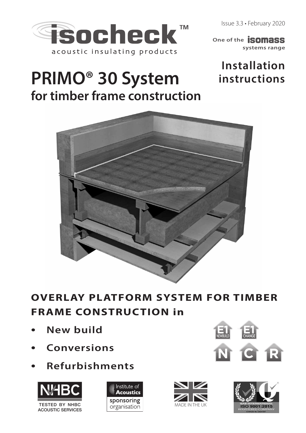Issue 3.3 • February 2020



**systems range One of the SOMASS** 

# **Installation instructions**

# **PRIMO® 30 System for timber frame construction**



# **OVERLAY PLATFORM SYSTEM FOR TIMBER FRAME CONSTRUCTION in**

- **New build**
- **Conversions**
- **Refurbishments**









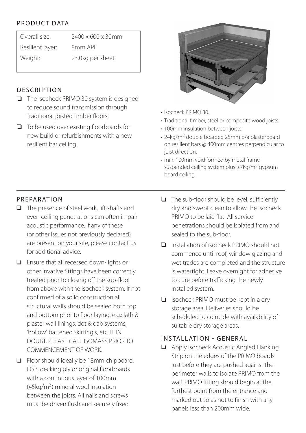## PRODUCT DATA

| Overall size:    | 2400 x 600 x 30mm |
|------------------|-------------------|
| Resilient layer: | 8mm APF           |
| Weight:          | 23.0kg per sheet  |

#### **DESCRIPTION**

- ❏ The isocheck PRIMO 30 system is designed to reduce sound transmission through traditional joisted timber floors.
- ❏ To be used over existing floorboards for new build or refurbishments with a new resilient bar ceiling.



- Isocheck PRIMO 30.
- Traditional timber, steel or composite wood joists.
- 100mm insulation between joists.
- 24kg/m2 double boarded 25mm o/a plasterboard on resilient bars @ 400mm centres perpendicular to joist direction.
- min. 100mm void formed by metal frame suspended ceiling system plus ≥7kg/m2 gypsum board ceiling.

## PREPARATION

- ❏ The presence of steel work, lift shafts and even ceiling penetrations can often impair acoustic performance. If any of these (or other issues not previously declared) are present on your site, please contact us for additional advice.
- ❏ Ensure that all recessed down-lights or other invasive fittings have been correctly treated prior to closing off the sub-floor from above with the isocheck system. If not confirmed of a solid construction all structural walls should be sealed both top and bottom prior to floor laying. e.g.: lath & plaster wall linings, dot & dab systems, 'hollow' battened skirting's, etc. IF IN DOUBT, PLEASE CALL ISOMASS PRIOR TO COMMENCEMENT OF WORK.
- ❏ Floor should ideally be 18mm chipboard, OSB, decking ply or original floorboards with a continuous layer of 100mm  $(45 \text{ka/m}^3)$  mineral wool insulation between the joists. All nails and screws must be driven flush and securely fixed.
- ❏ The sub-floor should be level, sufficiently dry and swept clean to allow the isocheck PRIMO to be laid flat. All service penetrations should be isolated from and sealed to the sub-floor.
- ❏ Installation of isocheck PRIMO should not commence until roof, window glazing and wet trades are completed and the structure is watertight. Leave overnight for adhesive to cure before trafficking the newly installed system.
- ❏ Isocheck PRIMO must be kept in a dry storage area. Deliveries should be scheduled to coincide with availability of suitable dry storage areas.

#### INSTALLATION - GENERAL

❏ Apply Isocheck Acoustic Angled Flanking Strip on the edges of the PRIMO boards just before they are pushed against the perimeter walls to isolate PRIMO from the wall. PRIMO fitting should begin at the furthest point from the entrance and marked out so as not to finish with any panels less than 200mm wide.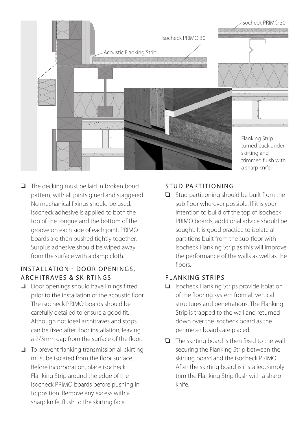

❏ The decking must be laid in broken bond pattern, with all joints glued and staggered. No mechanical fixings should be used. Isocheck adhesive is applied to both the top of the tongue and the bottom of the groove on each side of each joint. PRIMO boards are then pushed tightly together. Surplus adhesive should be wiped away from the surface with a damp cloth.

#### INSTALLATION - DOOR OPENINGS, ARCHITRAVES & SKIRTINGS

- ❏ Door openings should have linings fitted prior to the installation of the acoustic floor. The isocheck PRIMO boards should be carefully detailed to ensure a good fit. Although not ideal architraves and stops can be fixed after floor installation, leaving a 2/3mm gap from the surface of the floor.
- ❏ To prevent flanking transmission all skirting must be isolated from the floor surface. Before incorporation, place isocheck Flanking Strip around the edge of the isocheck PRIMO boards before pushing in to position. Remove any excess with a sharp knife, flush to the skirting face.

#### STUD PARTITIONING

❏ Stud partitioning should be built from the sub floor wherever possible. If it is your intention to build off the top of isocheck PRIMO boards, additional advice should be sought. It is good practice to isolate all partitions built from the sub-floor with isocheck Flanking Strip as this will improve the performance of the walls as well as the floors.

#### FLANKING STRIPS

- ❏ Isocheck Flanking Strips provide isolation of the flooring system from all vertical structures and penetrations. The Flanking Strip is trapped to the wall and returned down over the isocheck board as the perimeter boards are placed.
- ❏ The skirting board is then fixed to the wall securing the Flanking Strip between the skirting board and the isocheck PRIMO. After the skirting board is installed, simply trim the Flanking Strip flush with a sharp knife.